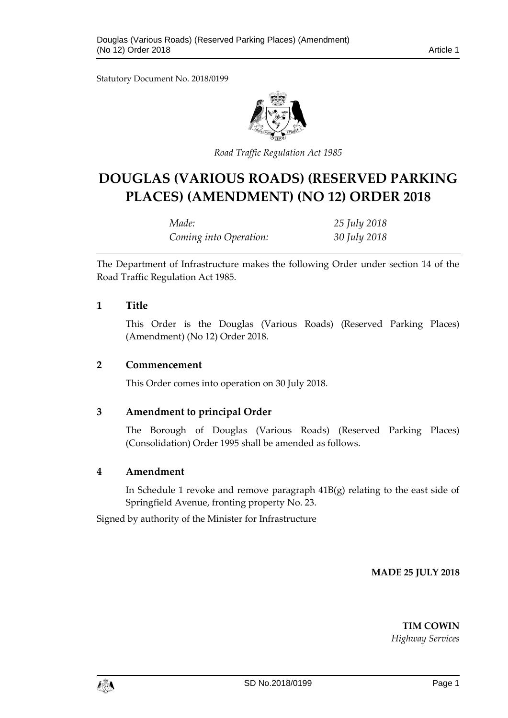Statutory Document No. 2018/0199



*Road Traffic Regulation Act 1985*

# **DOUGLAS (VARIOUS ROADS) (RESERVED PARKING PLACES) (AMENDMENT) (NO 12) ORDER 2018**

| Made:                  | 25 July 2018 |
|------------------------|--------------|
| Coming into Operation: | 30 July 2018 |

The Department of Infrastructure makes the following Order under section 14 of the Road Traffic Regulation Act 1985.

### **1 Title**

This Order is the Douglas (Various Roads) (Reserved Parking Places) (Amendment) (No 12) Order 2018.

#### **2 Commencement**

This Order comes into operation on 30 July 2018.

## **3 Amendment to principal Order**

The Borough of Douglas (Various Roads) (Reserved Parking Places) (Consolidation) Order 1995 shall be amended as follows.

## **4 Amendment**

In Schedule 1 revoke and remove paragraph 41B(g) relating to the east side of Springfield Avenue, fronting property No. 23.

Signed by authority of the Minister for Infrastructure

**MADE 25 JULY 2018**

**TIM COWIN**

*Highway Services*